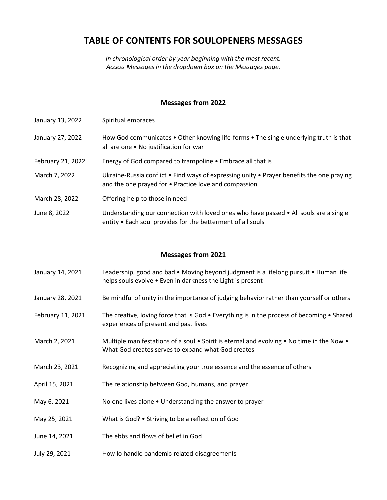# **TABLE OF CONTENTS FOR SOULOPENERS MESSAGES**

*In chronological order by year beginning with the most recent. Access Messages in the dropdown box on the Messages page.*

#### **Messages from 2022**

- January 13, 2022 Spiritual embraces
- January 27, 2022 How God communicates Other knowing life-forms The single underlying truth is that all are one • No justification for war
- February 21, 2022 Energy of God compared to trampoline Embrace all that is
- March 7, 2022 Ukraine-Russia conflict Find ways of expressing unity Prayer benefits the one praying and the one prayed for • Practice love and compassion
- March 28, 2022 Offering help to those in need
- June 8, 2022 Understanding our connection with loved ones who have passed All souls are a single entity • Each soul provides for the betterment of all souls

- January 14, 2021 Leadership, good and bad Moving beyond judgment is a lifelong pursuit Human life helps souls evolve • Even in darkness the Light is present
- January 28, 2021 Be mindful of unity in the importance of judging behavior rather than yourself or others
- February 11, 2021 The creative, loving force that is God Everything is in the process of becoming Shared experiences of present and past lives
- March 2, 2021 Multiple manifestations of a soul Spirit is eternal and evolving No time in the Now What God creates serves to expand what God creates
- March 23, 2021 Recognizing and appreciating your true essence and the essence of others
- April 15, 2021 The relationship between God, humans, and prayer
- May 6, 2021 No one lives alone Understanding the answer to prayer
- May 25, 2021 What is God? Striving to be a reflection of God
- June 14, 2021 The ebbs and flows of belief in God
- July 29, 2021 How to handle pandemic-related disagreements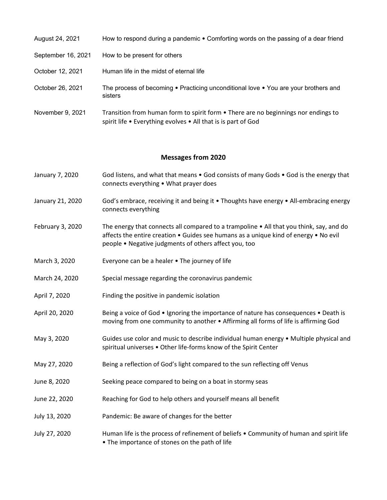| August 24, 2021    | How to respond during a pandemic • Comforting words on the passing of a dear friend                                                                 |
|--------------------|-----------------------------------------------------------------------------------------------------------------------------------------------------|
| September 16, 2021 | How to be present for others                                                                                                                        |
| October 12, 2021   | Human life in the midst of eternal life                                                                                                             |
| October 26, 2021   | The process of becoming $\bullet$ Practicing unconditional love $\bullet$ You are your brothers and<br>sisters                                      |
| November 9, 2021   | Transition from human form to spirit form • There are no beginnings nor endings to<br>spirit life . Everything evolves . All that is is part of God |

- January 7, 2020 God listens, and what that means God consists of many Gods God is the energy that connects everything • What prayer does
- January 21, 2020 God's embrace, receiving it and being it Thoughts have energy All-embracing energy connects everything
- February 3, 2020 The energy that connects all compared to a trampoline All that you think, say, and do affects the entire creation • Guides see humans as a unique kind of energy • No evil people • Negative judgments of others affect you, too
- March 3, 2020 Everyone can be a healer The journey of life
- March 24, 2020 Special message regarding the coronavirus pandemic
- April 7, 2020 Finding the positive in pandemic isolation
- April 20, 2020 Being a voice of God Ignoring the importance of nature has consequences Death is moving from one community to another • Affirming all forms of life is affirming God
- May 3, 2020 Guides use color and music to describe individual human energy Multiple physical and spiritual universes • Other life-forms know of the Spirit Center
- May 27, 2020 Being a reflection of God's light compared to the sun reflecting off Venus
- June 8, 2020 Seeking peace compared to being on a boat in stormy seas
- June 22, 2020 Reaching for God to help others and yourself means all benefit
- July 13, 2020 Pandemic: Be aware of changes for the better
- July 27, 2020 Human life is the process of refinement of beliefs Community of human and spirit life • The importance of stones on the path of life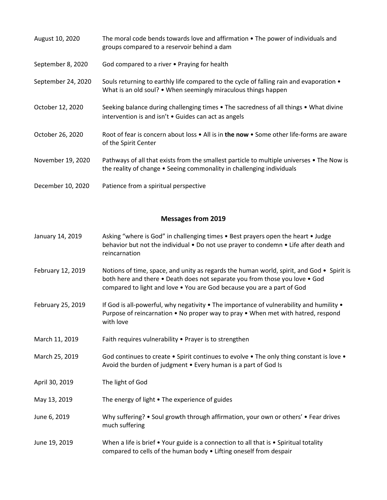| August 10, 2020    | The moral code bends towards love and affirmation $\bullet$ The power of individuals and<br>groups compared to a reservoir behind a dam                            |
|--------------------|--------------------------------------------------------------------------------------------------------------------------------------------------------------------|
| September 8, 2020  | God compared to a river • Praying for health                                                                                                                       |
| September 24, 2020 | Souls returning to earthly life compared to the cycle of falling rain and evaporation $\bullet$<br>What is an old soul? • When seemingly miraculous things happen  |
| October 12, 2020   | Seeking balance during challenging times • The sacredness of all things • What divine<br>intervention is and isn't . Guides can act as angels                      |
| October 26, 2020   | Root of fear is concern about loss • All is in the now • Some other life-forms are aware<br>of the Spirit Center                                                   |
| November 19, 2020  | Pathways of all that exists from the smallest particle to multiple universes • The Now is<br>the reality of change • Seeing commonality in challenging individuals |
| December 10, 2020  | Patience from a spiritual perspective                                                                                                                              |

- January 14, 2019 Asking "where is God" in challenging times Best prayers open the heart Judge behavior but not the individual • Do not use prayer to condemn • Life after death and reincarnation
- February 12, 2019 Notions of time, space, and unity as regards the human world, spirit, and God Spirit is both here and there • Death does not separate you from those you love • God compared to light and love • You are God because you are a part of God
- February 25, 2019 If God is all-powerful, why negativity The importance of vulnerability and humility Purpose of reincarnation • No proper way to pray • When met with hatred, respond with love
- March 11, 2019 Faith requires vulnerability Prayer is to strengthen
- March 25, 2019 God continues to create Spirit continues to evolve The only thing constant is love Avoid the burden of judgment • Every human is a part of God Is
- April 30, 2019 The light of God
- May 13, 2019 The energy of light The experience of guides
- June 6, 2019 Why suffering? Soul growth through affirmation, your own or others' Fear drives much suffering
- June 19, 2019 When a life is brief Your guide is a connection to all that is Spiritual totality compared to cells of the human body • Lifting oneself from despair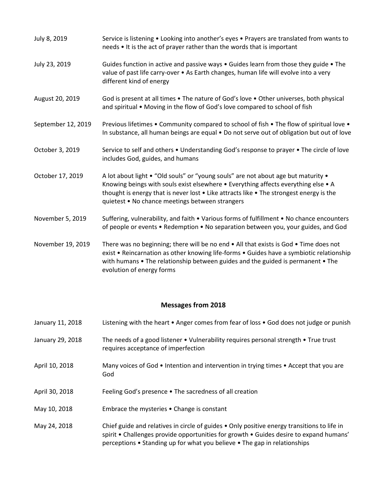| July 8, 2019       | Service is listening • Looking into another's eyes • Prayers are translated from wants to<br>needs • It is the act of prayer rather than the words that is important                                                                                                                                                  |
|--------------------|-----------------------------------------------------------------------------------------------------------------------------------------------------------------------------------------------------------------------------------------------------------------------------------------------------------------------|
| July 23, 2019      | Guides function in active and passive ways $\bullet$ Guides learn from those they guide $\bullet$ The<br>value of past life carry-over • As Earth changes, human life will evolve into a very<br>different kind of energy                                                                                             |
| August 20, 2019    | God is present at all times • The nature of God's love • Other universes, both physical<br>and spiritual • Moving in the flow of God's love compared to school of fish                                                                                                                                                |
| September 12, 2019 | Previous lifetimes • Community compared to school of fish • The flow of spiritual love •<br>In substance, all human beings are equal . Do not serve out of obligation but out of love                                                                                                                                 |
| October 3, 2019    | Service to self and others • Understanding God's response to prayer • The circle of love<br>includes God, guides, and humans                                                                                                                                                                                          |
| October 17, 2019   | A lot about light . "Old souls" or "young souls" are not about age but maturity .<br>Knowing beings with souls exist elsewhere • Everything affects everything else • A<br>thought is energy that is never lost . Like attracts like . The strongest energy is the<br>quietest • No chance meetings between strangers |
| November 5, 2019   | Suffering, vulnerability, and faith . Various forms of fulfillment . No chance encounters<br>of people or events • Redemption • No separation between you, your guides, and God                                                                                                                                       |
| November 19, 2019  | There was no beginning; there will be no end . All that exists is God . Time does not<br>exist • Reincarnation as other knowing life-forms • Guides have a symbiotic relationship<br>with humans • The relationship between guides and the guided is permanent • The<br>evolution of energy forms                     |

| January 11, 2018 | Listening with the heart • Anger comes from fear of loss • God does not judge or punish                                                     |
|------------------|---------------------------------------------------------------------------------------------------------------------------------------------|
| January 29, 2018 | The needs of a good listener $\bullet$ Vulnerability requires personal strength $\bullet$ True trust<br>requires acceptance of imperfection |

- April 10, 2018 Many voices of God Intention and intervention in trying times Accept that you are God
- April 30, 2018 Feeling God's presence The sacredness of all creation
- May 10, 2018 Embrace the mysteries Change is constant

May 24, 2018 Chief guide and relatives in circle of guides • Only positive energy transitions to life in spirit • Challenges provide opportunities for growth • Guides desire to expand humans' perceptions • Standing up for what you believe • The gap in relationships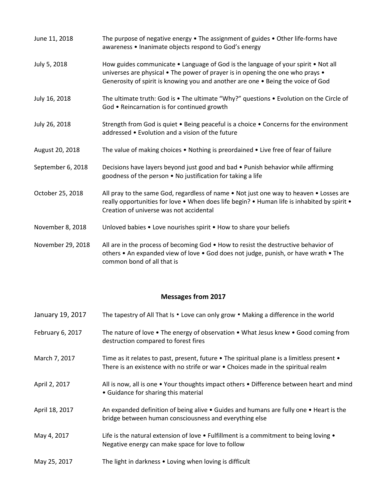| June 11, 2018     | The purpose of negative energy . The assignment of guides . Other life-forms have<br>awareness . Inanimate objects respond to God's energy                                                                                                              |
|-------------------|---------------------------------------------------------------------------------------------------------------------------------------------------------------------------------------------------------------------------------------------------------|
| July 5, 2018      | How guides communicate . Language of God is the language of your spirit . Not all<br>universes are physical • The power of prayer is in opening the one who prays •<br>Generosity of spirit is knowing you and another are one . Being the voice of God |
| July 16, 2018     | The ultimate truth: God is . The ultimate "Why?" questions . Evolution on the Circle of<br>God . Reincarnation is for continued growth                                                                                                                  |
| July 26, 2018     | Strength from God is quiet . Being peaceful is a choice . Concerns for the environment<br>addressed • Evolution and a vision of the future                                                                                                              |
| August 20, 2018   | The value of making choices • Nothing is preordained • Live free of fear of failure                                                                                                                                                                     |
| September 6, 2018 | Decisions have layers beyond just good and bad • Punish behavior while affirming<br>goodness of the person . No justification for taking a life                                                                                                         |
| October 25, 2018  | All pray to the same God, regardless of name • Not just one way to heaven • Losses are<br>really opportunities for love . When does life begin? . Human life is inhabited by spirit .<br>Creation of universe was not accidental                        |
| November 8, 2018  | Unloved babies • Love nourishes spirit • How to share your beliefs                                                                                                                                                                                      |
| November 29, 2018 | All are in the process of becoming God . How to resist the destructive behavior of<br>others • An expanded view of love • God does not judge, punish, or have wrath • The                                                                               |

common bond of all that is

| January 19, 2017 | The tapestry of All That Is • Love can only grow • Making a difference in the world                                                                                                             |
|------------------|-------------------------------------------------------------------------------------------------------------------------------------------------------------------------------------------------|
| February 6, 2017 | The nature of love $\bullet$ The energy of observation $\bullet$ What Jesus knew $\bullet$ Good coming from<br>destruction compared to forest fires                                             |
| March 7, 2017    | Time as it relates to past, present, future $\bullet$ The spiritual plane is a limitless present $\bullet$<br>There is an existence with no strife or war • Choices made in the spiritual realm |
| April 2, 2017    | All is now, all is one • Your thoughts impact others • Difference between heart and mind<br>• Guidance for sharing this material                                                                |
| April 18, 2017   | An expanded definition of being alive • Guides and humans are fully one • Heart is the<br>bridge between human consciousness and everything else                                                |
| May 4, 2017      | Life is the natural extension of love $\bullet$ Fulfillment is a commitment to being loving $\bullet$<br>Negative energy can make space for love to follow                                      |
| May 25, 2017     | The light in darkness • Loving when loving is difficult                                                                                                                                         |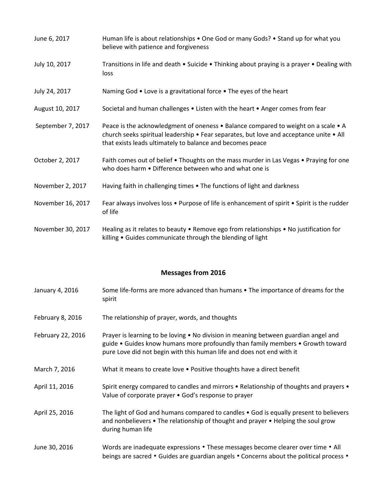| June 6, 2017      | Human life is about relationships • One God or many Gods? • Stand up for what you<br>believe with patience and forgiveness                                                                                                                 |
|-------------------|--------------------------------------------------------------------------------------------------------------------------------------------------------------------------------------------------------------------------------------------|
| July 10, 2017     | Transitions in life and death • Suicide • Thinking about praying is a prayer • Dealing with<br>loss                                                                                                                                        |
| July 24, 2017     | Naming God • Love is a gravitational force • The eyes of the heart                                                                                                                                                                         |
| August 10, 2017   | Societal and human challenges • Listen with the heart • Anger comes from fear                                                                                                                                                              |
| September 7, 2017 | Peace is the acknowledgment of oneness • Balance compared to weight on a scale • A<br>church seeks spiritual leadership • Fear separates, but love and acceptance unite • All<br>that exists leads ultimately to balance and becomes peace |
| October 2, 2017   | Faith comes out of belief . Thoughts on the mass murder in Las Vegas . Praying for one<br>who does harm . Difference between who and what one is                                                                                           |
| November 2, 2017  | Having faith in challenging times • The functions of light and darkness                                                                                                                                                                    |
| November 16, 2017 | Fear always involves loss • Purpose of life is enhancement of spirit • Spirit is the rudder<br>of life                                                                                                                                     |
| November 30, 2017 | Healing as it relates to beauty . Remove ego from relationships . No justification for<br>killing . Guides communicate through the blending of light                                                                                       |

| January 4, 2016   | Some life-forms are more advanced than humans • The importance of dreams for the<br>spirit                                                                                                                                                     |
|-------------------|------------------------------------------------------------------------------------------------------------------------------------------------------------------------------------------------------------------------------------------------|
| February 8, 2016  | The relationship of prayer, words, and thoughts                                                                                                                                                                                                |
| February 22, 2016 | Prayer is learning to be loving • No division in meaning between guardian angel and<br>guide • Guides know humans more profoundly than family members • Growth toward<br>pure Love did not begin with this human life and does not end with it |
| March 7, 2016     | What it means to create love • Positive thoughts have a direct benefit                                                                                                                                                                         |
| April 11, 2016    | Spirit energy compared to candles and mirrors • Relationship of thoughts and prayers •<br>Value of corporate prayer • God's response to prayer                                                                                                 |
| April 25, 2016    | The light of God and humans compared to candles • God is equally present to believers<br>and nonbelievers • The relationship of thought and prayer • Helping the soul grow<br>during human life                                                |
| June 30, 2016     | Words are inadequate expressions • These messages become clearer over time • All<br>beings are sacred • Guides are guardian angels • Concerns about the political process •                                                                    |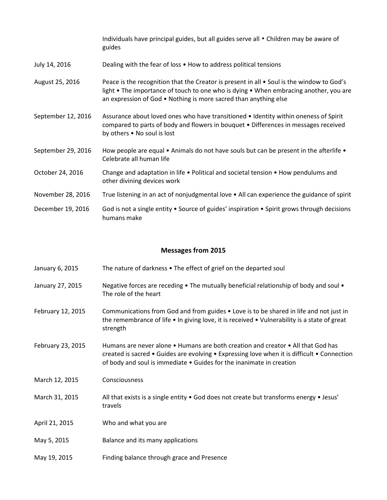Individuals have principal guides, but all guides serve all • Children may be aware of guides

- July 14, 2016 Dealing with the fear of loss How to address political tensions
- August 25, 2016 Peace is the recognition that the Creator is present in all Soul is the window to God's light • The importance of touch to one who is dying • When embracing another, you are an expression of God • Nothing is more sacred than anything else
- September 12, 2016 Assurance about loved ones who have transitioned Identity within oneness of Spirit compared to parts of body and flowers in bouquet • Differences in messages received by others • No soul is lost
- September 29, 2016 How people are equal  $\bullet$  Animals do not have souls but can be present in the afterlife  $\bullet$ Celebrate all human life
- October 24, 2016 Change and adaptation in life Political and societal tension How pendulums and other divining devices work
- November 28, 2016 True listening in an act of nonjudgmental love All can experience the guidance of spirit
- December 19, 2016 God is not a single entity Source of guides' inspiration Spirit grows through decisions humans make

- January 6, 2015 The nature of darkness The effect of grief on the departed soul
- January 27, 2015 Negative forces are receding The mutually beneficial relationship of body and soul The role of the heart
- February 12, 2015 Communications from God and from guides Love is to be shared in life and not just in the remembrance of life • In giving love, it is received • Vulnerability is a state of great strength
- February 23, 2015 Humans are never alone Humans are both creation and creator All that God has created is sacred • Guides are evolving • Expressing love when it is difficult • Connection of body and soul is immediate • Guides for the inanimate in creation
- March 12, 2015 Consciousness
- March 31, 2015 All that exists is a single entity God does not create but transforms energy Jesus' travels
- April 21, 2015 Who and what you are
- May 5, 2015 Balance and its many applications
- May 19, 2015 Finding balance through grace and Presence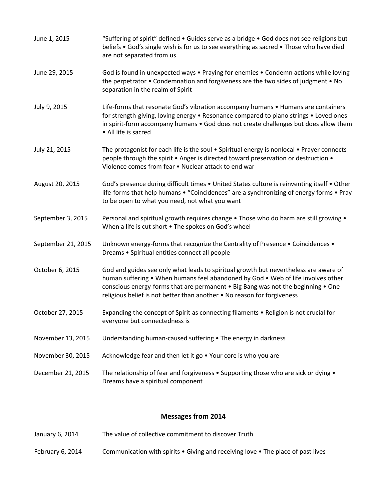| June 1, 2015       | "Suffering of spirit" defined . Guides serve as a bridge . God does not see religions but<br>beliefs • God's single wish is for us to see everything as sacred • Those who have died<br>are not separated from us                                                                                                                       |
|--------------------|-----------------------------------------------------------------------------------------------------------------------------------------------------------------------------------------------------------------------------------------------------------------------------------------------------------------------------------------|
| June 29, 2015      | God is found in unexpected ways • Praying for enemies • Condemn actions while loving<br>the perpetrator . Condemnation and forgiveness are the two sides of judgment . No<br>separation in the realm of Spirit                                                                                                                          |
| July 9, 2015       | Life-forms that resonate God's vibration accompany humans . Humans are containers<br>for strength-giving, loving energy • Resonance compared to piano strings • Loved ones<br>in spirit-form accompany humans . God does not create challenges but does allow them<br>• All life is sacred                                              |
| July 21, 2015      | The protagonist for each life is the soul . Spiritual energy is nonlocal . Prayer connects<br>people through the spirit • Anger is directed toward preservation or destruction •<br>Violence comes from fear . Nuclear attack to end war                                                                                                |
| August 20, 2015    | God's presence during difficult times . United States culture is reinventing itself . Other<br>life-forms that help humans • "Coincidences" are a synchronizing of energy forms • Pray<br>to be open to what you need, not what you want                                                                                                |
| September 3, 2015  | Personal and spiritual growth requires change . Those who do harm are still growing .<br>When a life is cut short . The spokes on God's wheel                                                                                                                                                                                           |
| September 21, 2015 | Unknown energy-forms that recognize the Centrality of Presence . Coincidences .<br>Dreams . Spiritual entities connect all people                                                                                                                                                                                                       |
| October 6, 2015    | God and guides see only what leads to spiritual growth but nevertheless are aware of<br>human suffering • When humans feel abandoned by God • Web of life involves other<br>conscious energy-forms that are permanent . Big Bang was not the beginning . One<br>religious belief is not better than another . No reason for forgiveness |
| October 27, 2015   | Expanding the concept of Spirit as connecting filaments • Religion is not crucial for<br>everyone but connectedness is                                                                                                                                                                                                                  |
| November 13, 2015  | Understanding human-caused suffering • The energy in darkness                                                                                                                                                                                                                                                                           |
| November 30, 2015  | Acknowledge fear and then let it go . Your core is who you are                                                                                                                                                                                                                                                                          |
| December 21, 2015  | The relationship of fear and forgiveness $\bullet$ Supporting those who are sick or dying $\bullet$<br>Dreams have a spiritual component                                                                                                                                                                                                |

- January 6, 2014 The value of collective commitment to discover Truth
- February 6, 2014 Communication with spirits Giving and receiving love The place of past lives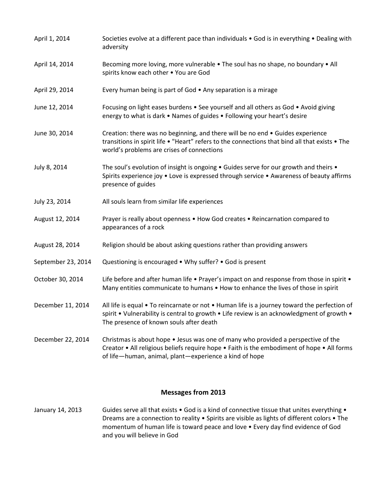| April 1, 2014      | Societies evolve at a different pace than individuals • God is in everything • Dealing with<br>adversity                                                                                                                                  |
|--------------------|-------------------------------------------------------------------------------------------------------------------------------------------------------------------------------------------------------------------------------------------|
| April 14, 2014     | Becoming more loving, more vulnerable . The soul has no shape, no boundary . All<br>spirits know each other . You are God                                                                                                                 |
| April 29, 2014     | Every human being is part of God • Any separation is a mirage                                                                                                                                                                             |
| June 12, 2014      | Focusing on light eases burdens • See yourself and all others as God • Avoid giving<br>energy to what is dark . Names of guides . Following your heart's desire                                                                           |
| June 30, 2014      | Creation: there was no beginning, and there will be no end . Guides experience<br>transitions in spirit life . "Heart" refers to the connections that bind all that exists . The<br>world's problems are crises of connections            |
| July 8, 2014       | The soul's evolution of insight is ongoing . Guides serve for our growth and theirs .<br>Spirits experience joy . Love is expressed through service . Awareness of beauty affirms<br>presence of guides                                   |
| July 23, 2014      | All souls learn from similar life experiences                                                                                                                                                                                             |
| August 12, 2014    | Prayer is really about openness . How God creates . Reincarnation compared to<br>appearances of a rock                                                                                                                                    |
| August 28, 2014    | Religion should be about asking questions rather than providing answers                                                                                                                                                                   |
| September 23, 2014 | Questioning is encouraged • Why suffer? • God is present                                                                                                                                                                                  |
| October 30, 2014   | Life before and after human life • Prayer's impact on and response from those in spirit •<br>Many entities communicate to humans • How to enhance the lives of those in spirit                                                            |
| December 11, 2014  | All life is equal • To reincarnate or not • Human life is a journey toward the perfection of<br>spirit • Vulnerability is central to growth • Life review is an acknowledgment of growth •<br>The presence of known souls after death     |
| December 22, 2014  | Christmas is about hope . Jesus was one of many who provided a perspective of the<br>Creator • All religious beliefs require hope • Faith is the embodiment of hope • All forms<br>of life-human, animal, plant-experience a kind of hope |

January 14, 2013 Guides serve all that exists • God is a kind of connective tissue that unites everything • Dreams are a connection to reality • Spirits are visible as lights of different colors • The momentum of human life is toward peace and love • Every day find evidence of God and you will believe in God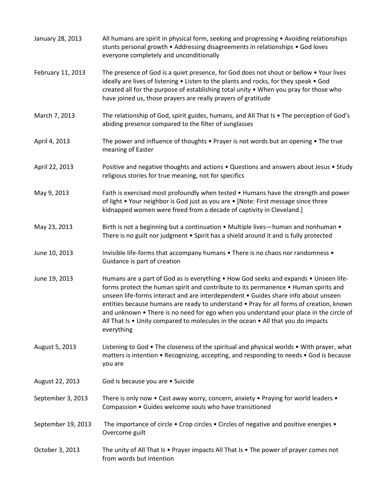| January 28, 2013   | All humans are spirit in physical form, seeking and progressing • Avoiding relationships<br>stunts personal growth • Addressing disagreements in relationships • God loves<br>everyone completely and unconditionally                                                                                                                                                                                                                                                                                                                                    |
|--------------------|----------------------------------------------------------------------------------------------------------------------------------------------------------------------------------------------------------------------------------------------------------------------------------------------------------------------------------------------------------------------------------------------------------------------------------------------------------------------------------------------------------------------------------------------------------|
| February 11, 2013  | The presence of God is a quiet presence, for God does not shout or bellow . Your lives<br>ideally are lives of listening . Listen to the plants and rocks, for they speak . God<br>created all for the purpose of establishing total unity . When you pray for those who<br>have joined us, those prayers are really prayers of gratitude                                                                                                                                                                                                                |
| March 7, 2013      | The relationship of God, spirit guides, humans, and All That Is . The perception of God's<br>abiding presence compared to the filter of sunglasses                                                                                                                                                                                                                                                                                                                                                                                                       |
| April 4, 2013      | The power and influence of thoughts $\bullet$ Prayer is not words but an opening $\bullet$ The true<br>meaning of Easter                                                                                                                                                                                                                                                                                                                                                                                                                                 |
| April 22, 2013     | Positive and negative thoughts and actions . Questions and answers about Jesus . Study<br>religious stories for true meaning, not for specifics                                                                                                                                                                                                                                                                                                                                                                                                          |
| May 9, 2013        | Faith is exercised most profoundly when tested • Humans have the strength and power<br>of light • Your neighbor is God just as you are • [Note: First message since three<br>kidnapped women were freed from a decade of captivity in Cleveland.]                                                                                                                                                                                                                                                                                                        |
| May 23, 2013       | Birth is not a beginning but a continuation . Multiple lives-human and nonhuman .<br>There is no guilt nor judgment . Spirit has a shield around it and is fully protected                                                                                                                                                                                                                                                                                                                                                                               |
| June 10, 2013      | Invisible life-forms that accompany humans . There is no chaos nor randomness .<br>Guidance is part of creation                                                                                                                                                                                                                                                                                                                                                                                                                                          |
| June 19, 2013      | Humans are a part of God as is everything • How God seeks and expands • Unseen life-<br>forms protect the human spirit and contribute to its permanence . Human spirits and<br>unseen life-forms interact and are interdependent . Guides share info about unseen<br>entities because humans are ready to understand . Pray for all forms of creation, known<br>and unknown • There is no need for ego when you understand your place in the circle of<br>All That Is . Unity compared to molecules in the ocean . All that you do impacts<br>everything |
| August 5, 2013     | Listening to God • The closeness of the spiritual and physical worlds • With prayer, what<br>matters is intention • Recognizing, accepting, and responding to needs • God is because<br>you are                                                                                                                                                                                                                                                                                                                                                          |
| August 22, 2013    | God is because you are • Suicide                                                                                                                                                                                                                                                                                                                                                                                                                                                                                                                         |
| September 3, 2013  | There is only now . Cast away worry, concern, anxiety . Praying for world leaders .<br>Compassion . Guides welcome souls who have transitioned                                                                                                                                                                                                                                                                                                                                                                                                           |
| September 19, 2013 | The importance of circle • Crop circles • Circles of negative and positive energies •<br>Overcome guilt                                                                                                                                                                                                                                                                                                                                                                                                                                                  |
| October 3, 2013    | The unity of All That Is • Prayer impacts All That Is • The power of prayer comes not<br>from words but intention                                                                                                                                                                                                                                                                                                                                                                                                                                        |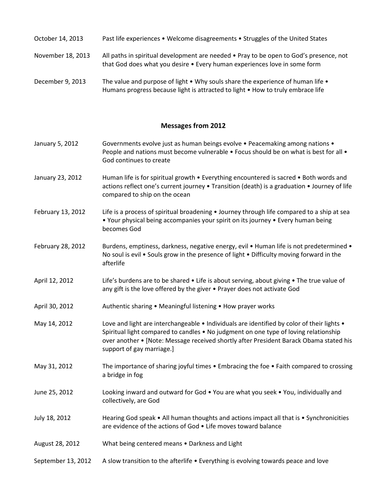- October 14, 2013 Past life experiences Welcome disagreements Struggles of the United States
- November 18, 2013 All paths in spiritual development are needed Pray to be open to God's presence, not that God does what you desire • Every human experiences love in some form
- December 9, 2013 The value and purpose of light Why souls share the experience of human life Humans progress because light is attracted to light • How to truly embrace life

- January 5, 2012 Governments evolve just as human beings evolve Peacemaking among nations People and nations must become vulnerable • Focus should be on what is best for all • God continues to create
- January 23, 2012 Human life is for spiritual growth Everything encountered is sacred Both words and actions reflect one's current journey • Transition (death) is a graduation • Journey of life compared to ship on the ocean
- February 13, 2012 Life is a process of spiritual broadening Journey through life compared to a ship at sea • Your physical being accompanies your spirit on its journey • Every human being becomes God
- February 28, 2012 Burdens, emptiness, darkness, negative energy, evil Human life is not predetermined No soul is evil • Souls grow in the presence of light • Difficulty moving forward in the afterlife
- April 12, 2012 Life's burdens are to be shared Life is about serving, about giving The true value of any gift is the love offered by the giver • Prayer does not activate God
- April 30, 2012 **Authentic sharing Meaningful listening How prayer works**
- May 14, 2012 Love and light are interchangeable Individuals are identified by color of their lights Spiritual light compared to candles • No judgment on one type of loving relationship over another • [Note: Message received shortly after President Barack Obama stated his support of gay marriage.]
- May 31, 2012 The importance of sharing joyful times Embracing the foe Faith compared to crossing a bridge in fog
- June 25, 2012 Looking inward and outward for God You are what you seek You, individually and collectively, are God
- July 18, 2012 Hearing God speak All human thoughts and actions impact all that is Synchronicities are evidence of the actions of God • Life moves toward balance
- August 28, 2012 What being centered means Darkness and Light
- September 13, 2012 A slow transition to the afterlife Everything is evolving towards peace and love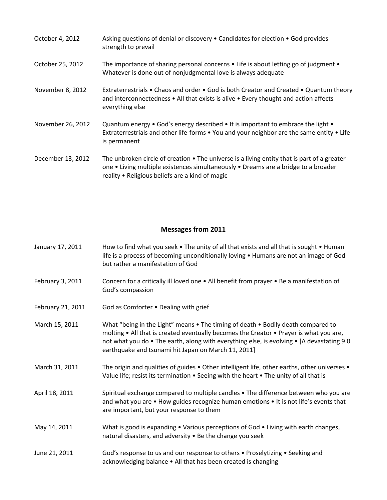| October 4, 2012   | Asking questions of denial or discovery • Candidates for election • God provides<br>strength to prevail                                                                                                                              |
|-------------------|--------------------------------------------------------------------------------------------------------------------------------------------------------------------------------------------------------------------------------------|
| October 25, 2012  | The importance of sharing personal concerns $\bullet$ Life is about letting go of judgment $\bullet$<br>Whatever is done out of nonjudgmental love is always adequate                                                                |
| November 8, 2012  | Extraterrestrials • Chaos and order • God is both Creator and Created • Quantum theory<br>and interconnectedness • All that exists is alive • Every thought and action affects<br>everything else                                    |
| November 26, 2012 | Quantum energy • God's energy described • It is important to embrace the light •<br>Extraterrestrials and other life-forms • You and your neighbor are the same entity • Life<br>is permanent                                        |
| December 13, 2012 | The unbroken circle of creation • The universe is a living entity that is part of a greater<br>one • Living multiple existences simultaneously • Dreams are a bridge to a broader<br>reality . Religious beliefs are a kind of magic |

| January 17, 2011 | How to find what you seek • The unity of all that exists and all that is sought • Human |
|------------------|-----------------------------------------------------------------------------------------|
|                  | life is a process of becoming unconditionally loving • Humans are not an image of God   |
|                  | but rather a manifestation of God                                                       |

- February 3, 2011 Concern for a critically ill loved one All benefit from prayer Be a manifestation of God's compassion
- February 21, 2011 God as Comforter Dealing with grief
- March 15, 2011 What "being in the Light" means The timing of death Bodily death compared to molting • All that is created eventually becomes the Creator • Prayer is what you are, not what you do • The earth, along with everything else, is evolving • [A devastating 9.0 earthquake and tsunami hit Japan on March 11, 2011]
- March 31, 2011 The origin and qualities of guides Other intelligent life, other earths, other universes Value life; resist its termination • Seeing with the heart • The unity of all that is
- April 18, 2011 Spiritual exchange compared to multiple candles The difference between who you are and what you are • How guides recognize human emotions • It is not life's events that are important, but your response to them
- May 14, 2011 What is good is expanding Various perceptions of God Living with earth changes, natural disasters, and adversity • Be the change you seek
- June 21, 2011 God's response to us and our response to others Proselytizing Seeking and acknowledging balance • All that has been created is changing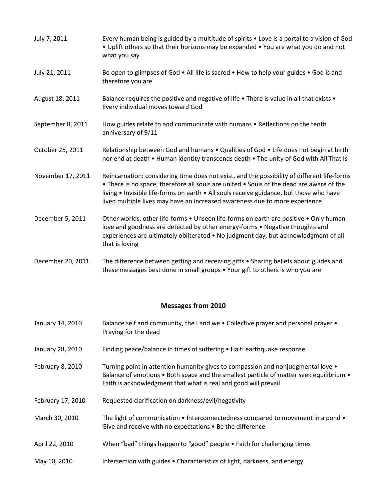| July 7, 2011      | Every human being is guided by a multitude of spirits . Love is a portal to a vision of God<br>. Uplift others so that their horizons may be expanded . You are what you do and not<br>what you say                                                                                                                                                               |
|-------------------|-------------------------------------------------------------------------------------------------------------------------------------------------------------------------------------------------------------------------------------------------------------------------------------------------------------------------------------------------------------------|
| July 21, 2011     | Be open to glimpses of God . All life is sacred . How to help your guides . God Is and<br>therefore you are                                                                                                                                                                                                                                                       |
| August 18, 2011   | Balance requires the positive and negative of life . There is value in all that exists .<br>Every individual moves toward God                                                                                                                                                                                                                                     |
| September 8, 2011 | How guides relate to and communicate with humans . Reflections on the tenth<br>anniversary of 9/11                                                                                                                                                                                                                                                                |
| October 25, 2011  | Relationship between God and humans . Qualities of God . Life does not begin at birth<br>nor end at death . Human identity transcends death . The unity of God with All That Is                                                                                                                                                                                   |
| November 17, 2011 | Reincarnation: considering time does not exist, and the possibility of different life-forms<br>• There is no space, therefore all souls are united • Souls of the dead are aware of the<br>living . Invisible life-forms on earth . All souls receive guidance, but those who have<br>lived multiple lives may have an increased awareness due to more experience |
| December 5, 2011  | Other worlds, other life-forms . Unseen life-forms on earth are positive . Only human<br>love and goodness are detected by other energy-forms • Negative thoughts and<br>experiences are ultimately obliterated • No judgment day, but acknowledgment of all<br>that is loving                                                                                    |
| December 20, 2011 | The difference between getting and receiving gifts • Sharing beliefs about guides and<br>these messages best done in small groups . Your gift to others is who you are                                                                                                                                                                                            |

| January 14, 2010  | Balance self and community, the I and we • Collective prayer and personal prayer •<br>Praying for the dead                                                                                                                                     |
|-------------------|------------------------------------------------------------------------------------------------------------------------------------------------------------------------------------------------------------------------------------------------|
| January 28, 2010  | Finding peace/balance in times of suffering • Haiti earthquake response                                                                                                                                                                        |
| February 8, 2010  | Turning point in attention humanity gives to compassion and nonjudgmental love •<br>Balance of emotions • Both space and the smallest particle of matter seek equilibrium •<br>Faith is acknowledgment that what is real and good will prevail |
| February 17, 2010 | Requested clarification on darkness/evil/negativity                                                                                                                                                                                            |
| March 30, 2010    | The light of communication $\bullet$ Interconnectedness compared to movement in a pond $\bullet$<br>Give and receive with no expectations • Be the difference                                                                                  |
| April 22, 2010    | When "bad" things happen to "good" people • Faith for challenging times                                                                                                                                                                        |
| May 10, 2010      | Intersection with guides • Characteristics of light, darkness, and energy                                                                                                                                                                      |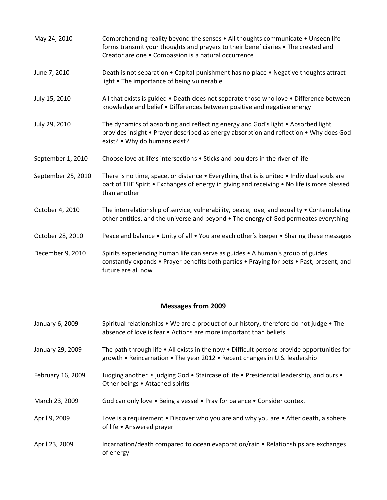| May 24, 2010       | Comprehending reality beyond the senses • All thoughts communicate • Unseen life-<br>forms transmit your thoughts and prayers to their beneficiaries • The created and<br>Creator are one . Compassion is a natural occurrence |
|--------------------|--------------------------------------------------------------------------------------------------------------------------------------------------------------------------------------------------------------------------------|
| June 7, 2010       | Death is not separation • Capital punishment has no place • Negative thoughts attract<br>light • The importance of being vulnerable                                                                                            |
| July 15, 2010      | All that exists is guided • Death does not separate those who love • Difference between<br>knowledge and belief . Differences between positive and negative energy                                                             |
| July 29, 2010      | The dynamics of absorbing and reflecting energy and God's light • Absorbed light<br>provides insight • Prayer described as energy absorption and reflection • Why does God<br>exist? • Why do humans exist?                    |
| September 1, 2010  | Choose love at life's intersections . Sticks and boulders in the river of life                                                                                                                                                 |
| September 25, 2010 | There is no time, space, or distance $\bullet$ Everything that is is united $\bullet$ Individual souls are<br>part of THE Spirit • Exchanges of energy in giving and receiving • No life is more blessed<br>than another       |
| October 4, 2010    | The interrelationship of service, vulnerability, peace, love, and equality • Contemplating<br>other entities, and the universe and beyond . The energy of God permeates everything                                             |
| October 28, 2010   | Peace and balance • Unity of all • You are each other's keeper • Sharing these messages                                                                                                                                        |
| December 9, 2010   | Spirits experiencing human life can serve as guides • A human's group of guides<br>constantly expands • Prayer benefits both parties • Praying for pets • Past, present, and<br>future are all now                             |

| January 6, 2009   | Spiritual relationships • We are a product of our history, therefore do not judge • The<br>absence of love is fear • Actions are more important than beliefs                              |
|-------------------|-------------------------------------------------------------------------------------------------------------------------------------------------------------------------------------------|
| January 29, 2009  | The path through life $\bullet$ All exists in the now $\bullet$ Difficult persons provide opportunities for<br>growth • Reincarnation • The year 2012 • Recent changes in U.S. leadership |
| February 16, 2009 | Judging another is judging God • Staircase of life • Presidential leadership, and ours •<br>Other beings • Attached spirits                                                               |
| March 23, 2009    | God can only love • Being a vessel • Pray for balance • Consider context                                                                                                                  |
| April 9, 2009     | Love is a requirement • Discover who you are and why you are • After death, a sphere<br>of life • Answered prayer                                                                         |
| April 23, 2009    | Incarnation/death compared to ocean evaporation/rain • Relationships are exchanges<br>of energy                                                                                           |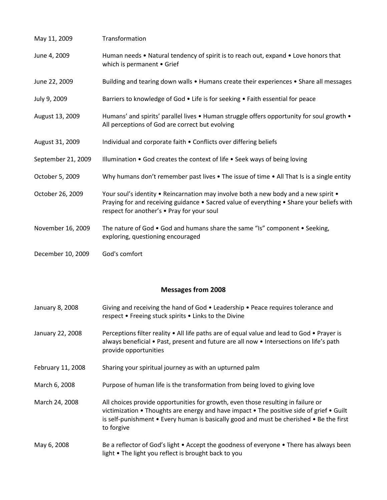| May 11, 2009       | Transformation                                                                                                                                                                                                                 |
|--------------------|--------------------------------------------------------------------------------------------------------------------------------------------------------------------------------------------------------------------------------|
| June 4, 2009       | Human needs • Natural tendency of spirit is to reach out, expand • Love honors that<br>which is permanent • Grief                                                                                                              |
| June 22, 2009      | Building and tearing down walls • Humans create their experiences • Share all messages                                                                                                                                         |
| July 9, 2009       | Barriers to knowledge of God • Life is for seeking • Faith essential for peace                                                                                                                                                 |
| August 13, 2009    | Humans' and spirits' parallel lives • Human struggle offers opportunity for soul growth •<br>All perceptions of God are correct but evolving                                                                                   |
| August 31, 2009    | Individual and corporate faith . Conflicts over differing beliefs                                                                                                                                                              |
| September 21, 2009 | Illumination • God creates the context of life • Seek ways of being loving                                                                                                                                                     |
| October 5, 2009    | Why humans don't remember past lives $\bullet$ The issue of time $\bullet$ All That Is is a single entity                                                                                                                      |
| October 26, 2009   | Your soul's identity • Reincarnation may involve both a new body and a new spirit •<br>Praying for and receiving guidance • Sacred value of everything • Share your beliefs with<br>respect for another's • Pray for your soul |
| November 16, 2009  | The nature of God • God and humans share the same "Is" component • Seeking,<br>exploring, questioning encouraged                                                                                                               |
| December 10, 2009  | God's comfort                                                                                                                                                                                                                  |

| January 8, 2008   | Giving and receiving the hand of God • Leadership • Peace requires tolerance and<br>respect • Freeing stuck spirits • Links to the Divine                                                                                                                                             |
|-------------------|---------------------------------------------------------------------------------------------------------------------------------------------------------------------------------------------------------------------------------------------------------------------------------------|
| January 22, 2008  | Perceptions filter reality • All life paths are of equal value and lead to God • Prayer is<br>always beneficial • Past, present and future are all now • Intersections on life's path<br>provide opportunities                                                                        |
| February 11, 2008 | Sharing your spiritual journey as with an upturned palm                                                                                                                                                                                                                               |
| March 6, 2008     | Purpose of human life is the transformation from being loved to giving love                                                                                                                                                                                                           |
| March 24, 2008    | All choices provide opportunities for growth, even those resulting in failure or<br>victimization • Thoughts are energy and have impact • The positive side of grief • Guilt<br>is self-punishment • Every human is basically good and must be cherished • Be the first<br>to forgive |
| May 6, 2008       | Be a reflector of God's light • Accept the goodness of everyone • There has always been<br>light • The light you reflect is brought back to you                                                                                                                                       |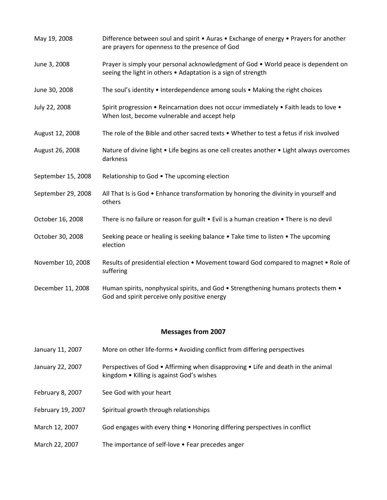| May 19, 2008       | Difference between soul and spirit • Auras • Exchange of energy • Prayers for another<br>are prayers for openness to the presence of God            |
|--------------------|-----------------------------------------------------------------------------------------------------------------------------------------------------|
| June 3, 2008       | Prayer is simply your personal acknowledgment of God • World peace is dependent on<br>seeing the light in others . Adaptation is a sign of strength |
| June 30, 2008      | The soul's identity • Interdependence among souls • Making the right choices                                                                        |
| July 22, 2008      | Spirit progression . Reincarnation does not occur immediately . Faith leads to love .<br>When lost, become vulnerable and accept help               |
| August 12, 2008    | The role of the Bible and other sacred texts • Whether to test a fetus if risk involved                                                             |
| August 26, 2008    | Nature of divine light . Life begins as one cell creates another . Light always overcomes<br>darkness                                               |
| September 15, 2008 | Relationship to God . The upcoming election                                                                                                         |
| September 29, 2008 | All That Is is God . Enhance transformation by honoring the divinity in yourself and<br>others                                                      |
| October 16, 2008   | There is no failure or reason for guilt $\bullet$ Evil is a human creation $\bullet$ There is no devil                                              |
| October 30, 2008   | Seeking peace or healing is seeking balance • Take time to listen • The upcoming<br>election                                                        |
| November 10, 2008  | Results of presidential election • Movement toward God compared to magnet • Role of<br>suffering                                                    |
| December 11, 2008  | Human spirits, nonphysical spirits, and God • Strengthening humans protects them •<br>God and spirit perceive only positive energy                  |
|                    | <b>Messages from 2007</b>                                                                                                                           |
| January 11, 2007   | More on other life-forms . Avoiding conflict from differing perspectives                                                                            |
| January 22, 2007   | Perspectives of God • Affirming when disapproving • Life and death in the animal<br>kingdom • Killing is against God's wishes                       |
| February 8, 2007   | See God with your heart                                                                                                                             |
| February 19, 2007  | Spiritual growth through relationships                                                                                                              |
| March 12, 2007     | God engages with every thing • Honoring differing perspectives in conflict                                                                          |

March 22, 2007 The importance of self-love • Fear precedes anger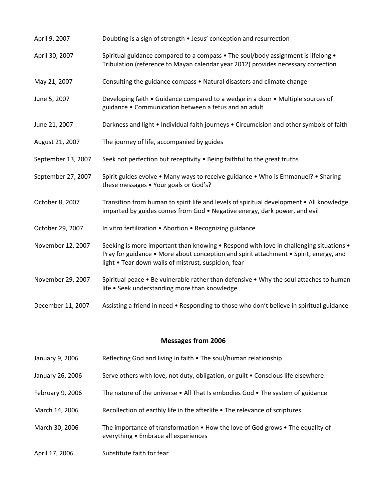| April 9, 2007      | Doubting is a sign of strength . Jesus' conception and resurrection                                                                                                                                                                     |
|--------------------|-----------------------------------------------------------------------------------------------------------------------------------------------------------------------------------------------------------------------------------------|
| April 30, 2007     | Spiritual guidance compared to a compass . The soul/body assignment is lifelong .<br>Tribulation (reference to Mayan calendar year 2012) provides necessary correction                                                                  |
| May 21, 2007       | Consulting the guidance compass . Natural disasters and climate change                                                                                                                                                                  |
| June 5, 2007       | Developing faith . Guidance compared to a wedge in a door . Multiple sources of<br>guidance . Communication between a fetus and an adult                                                                                                |
| June 21, 2007      | Darkness and light • Individual faith journeys • Circumcision and other symbols of faith                                                                                                                                                |
| August 21, 2007    | The journey of life, accompanied by guides                                                                                                                                                                                              |
| September 13, 2007 | Seek not perfection but receptivity . Being faithful to the great truths                                                                                                                                                                |
| September 27, 2007 | Spirit guides evolve . Many ways to receive guidance . Who is Emmanuel? . Sharing<br>these messages • Your goals or God's?                                                                                                              |
| October 8, 2007    | Transition from human to spirit life and levels of spiritual development • All knowledge<br>imparted by guides comes from God . Negative energy, dark power, and evil                                                                   |
| October 29, 2007   | In vitro fertilization . Abortion . Recognizing guidance                                                                                                                                                                                |
| November 12, 2007  | Seeking is more important than knowing • Respond with love in challenging situations •<br>Pray for guidance • More about conception and spirit attachment • Spirit, energy, and<br>light . Tear down walls of mistrust, suspicion, fear |
| November 29, 2007  | Spiritual peace • Be vulnerable rather than defensive • Why the soul attaches to human<br>life . Seek understanding more than knowledge                                                                                                 |
| December 11, 2007  | Assisting a friend in need • Responding to those who don't believe in spiritual guidance                                                                                                                                                |

- January 9, 2006 Reflecting God and living in faith The soul/human relationship
- January 26, 2006 Serve others with love, not duty, obligation, or guilt Conscious life elsewhere
- February 9, 2006 The nature of the universe All That Is embodies God The system of guidance
- March 14, 2006 Recollection of earthly life in the afterlife The relevance of scriptures
- March 30, 2006 The importance of transformation How the love of God grows The equality of everything • Embrace all experiences
- April 17, 2006 Substitute faith for fear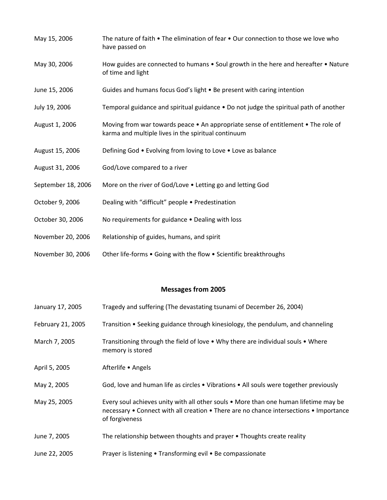| May 15, 2006       | The nature of faith • The elimination of fear • Our connection to those we love who<br>have passed on                                    |
|--------------------|------------------------------------------------------------------------------------------------------------------------------------------|
| May 30, 2006       | How guides are connected to humans . Soul growth in the here and hereafter . Nature<br>of time and light                                 |
| June 15, 2006      | Guides and humans focus God's light . Be present with caring intention                                                                   |
| July 19, 2006      | Temporal guidance and spiritual guidance • Do not judge the spiritual path of another                                                    |
| August 1, 2006     | Moving from war towards peace • An appropriate sense of entitlement • The role of<br>karma and multiple lives in the spiritual continuum |
| August 15, 2006    | Defining God • Evolving from loving to Love • Love as balance                                                                            |
| August 31, 2006    | God/Love compared to a river                                                                                                             |
| September 18, 2006 | More on the river of God/Love . Letting go and letting God                                                                               |
| October 9, 2006    | Dealing with "difficult" people . Predestination                                                                                         |
| October 30, 2006   | No requirements for guidance . Dealing with loss                                                                                         |
| November 20, 2006  | Relationship of guides, humans, and spirit                                                                                               |
| November 30, 2006  | Other life-forms . Going with the flow . Scientific breakthroughs                                                                        |

| January 17, 2005  | Tragedy and suffering (The devastating tsunami of December 26, 2004)                                                                                                                             |
|-------------------|--------------------------------------------------------------------------------------------------------------------------------------------------------------------------------------------------|
| February 21, 2005 | Transition • Seeking guidance through kinesiology, the pendulum, and channeling                                                                                                                  |
| March 7, 2005     | Transitioning through the field of love • Why there are individual souls • Where<br>memory is stored                                                                                             |
| April 5, 2005     | Afterlife • Angels                                                                                                                                                                               |
| May 2, 2005       | God, love and human life as circles • Vibrations • All souls were together previously                                                                                                            |
| May 25, 2005      | Every soul achieves unity with all other souls • More than one human lifetime may be<br>necessary • Connect with all creation • There are no chance intersections • Importance<br>of forgiveness |
| June 7, 2005      | The relationship between thoughts and prayer • Thoughts create reality                                                                                                                           |
| June 22, 2005     | Prayer is listening • Transforming evil • Be compassionate                                                                                                                                       |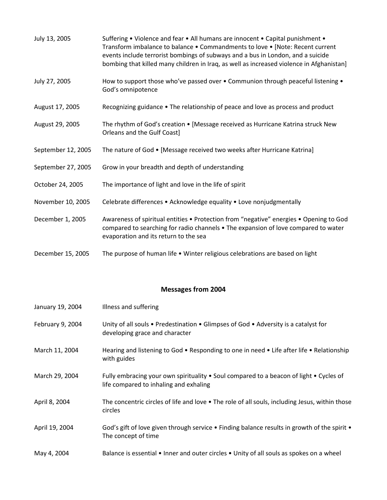| July 13, 2005      | Suffering • Violence and fear • All humans are innocent • Capital punishment •<br>Transform imbalance to balance . Commandments to love . [Note: Recent current<br>events include terrorist bombings of subways and a bus in London, and a suicide<br>bombing that killed many children in Iraq, as well as increased violence in Afghanistan] |
|--------------------|------------------------------------------------------------------------------------------------------------------------------------------------------------------------------------------------------------------------------------------------------------------------------------------------------------------------------------------------|
| July 27, 2005      | How to support those who've passed over • Communion through peaceful listening •<br>God's omnipotence                                                                                                                                                                                                                                          |
| August 17, 2005    | Recognizing guidance • The relationship of peace and love as process and product                                                                                                                                                                                                                                                               |
| August 29, 2005    | The rhythm of God's creation . [Message received as Hurricane Katrina struck New<br>Orleans and the Gulf Coast]                                                                                                                                                                                                                                |
| September 12, 2005 | The nature of God • [Message received two weeks after Hurricane Katrina]                                                                                                                                                                                                                                                                       |
| September 27, 2005 | Grow in your breadth and depth of understanding                                                                                                                                                                                                                                                                                                |
| October 24, 2005   | The importance of light and love in the life of spirit                                                                                                                                                                                                                                                                                         |
| November 10, 2005  | Celebrate differences • Acknowledge equality • Love nonjudgmentally                                                                                                                                                                                                                                                                            |
| December 1, 2005   | Awareness of spiritual entities • Protection from "negative" energies • Opening to God<br>compared to searching for radio channels • The expansion of love compared to water<br>evaporation and its return to the sea                                                                                                                          |
| December 15, 2005  | The purpose of human life • Winter religious celebrations are based on light                                                                                                                                                                                                                                                                   |

| January 19, 2004 | Illness and suffering                                                                                                            |
|------------------|----------------------------------------------------------------------------------------------------------------------------------|
| February 9, 2004 | Unity of all souls • Predestination • Glimpses of God • Adversity is a catalyst for<br>developing grace and character            |
| March 11, 2004   | Hearing and listening to God • Responding to one in need • Life after life • Relationship<br>with guides                         |
| March 29, 2004   | Fully embracing your own spirituality • Soul compared to a beacon of light • Cycles of<br>life compared to inhaling and exhaling |
| April 8, 2004    | The concentric circles of life and love • The role of all souls, including Jesus, within those<br>circles                        |
| April 19, 2004   | God's gift of love given through service • Finding balance results in growth of the spirit •<br>The concept of time              |
| May 4, 2004      | Balance is essential • Inner and outer circles • Unity of all souls as spokes on a wheel                                         |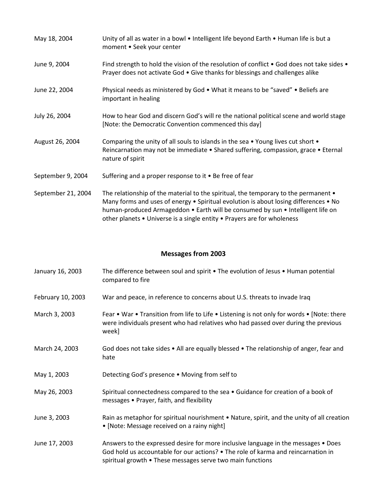| May 18, 2004       | Unity of all as water in a bowl • Intelligent life beyond Earth • Human life is but a<br>moment . Seek your center                                                                                                                                                                                                                        |
|--------------------|-------------------------------------------------------------------------------------------------------------------------------------------------------------------------------------------------------------------------------------------------------------------------------------------------------------------------------------------|
| June 9, 2004       | Find strength to hold the vision of the resolution of conflict • God does not take sides •<br>Prayer does not activate God • Give thanks for blessings and challenges alike                                                                                                                                                               |
| June 22, 2004      | Physical needs as ministered by God • What it means to be "saved" • Beliefs are<br>important in healing                                                                                                                                                                                                                                   |
| July 26, 2004      | How to hear God and discern God's will re the national political scene and world stage<br>[Note: the Democratic Convention commenced this day]                                                                                                                                                                                            |
| August 26, 2004    | Comparing the unity of all souls to islands in the sea • Young lives cut short •<br>Reincarnation may not be immediate • Shared suffering, compassion, grace • Eternal<br>nature of spirit                                                                                                                                                |
| September 9, 2004  | Suffering and a proper response to it • Be free of fear                                                                                                                                                                                                                                                                                   |
| September 21, 2004 | The relationship of the material to the spiritual, the temporary to the permanent •<br>Many forms and uses of energy • Spiritual evolution is about losing differences • No<br>human-produced Armageddon • Earth will be consumed by sun • Intelligent life on<br>other planets • Universe is a single entity • Prayers are for wholeness |

| January 16, 2003  | The difference between soul and spirit • The evolution of Jesus • Human potential<br>compared to fire                                                                                     |
|-------------------|-------------------------------------------------------------------------------------------------------------------------------------------------------------------------------------------|
| February 10, 2003 | War and peace, in reference to concerns about U.S. threats to invade Iraq                                                                                                                 |
| March 3, 2003     | Fear • War • Transition from life to Life • Listening is not only for words • [Note: there<br>were individuals present who had relatives who had passed over during the previous<br>week] |
| March 24, 2003    | God does not take sides • All are equally blessed • The relationship of anger, fear and<br>hate                                                                                           |
| May 1, 2003       | Detecting God's presence • Moving from self to                                                                                                                                            |
| May 26, 2003      | Spiritual connectedness compared to the sea . Guidance for creation of a book of<br>messages • Prayer, faith, and flexibility                                                             |
| June 3, 2003      | Rain as metaphor for spiritual nourishment • Nature, spirit, and the unity of all creation<br>• [Note: Message received on a rainy night]                                                 |

June 17, 2003 Answers to the expressed desire for more inclusive language in the messages • Does God hold us accountable for our actions? • The role of karma and reincarnation in spiritual growth • These messages serve two main functions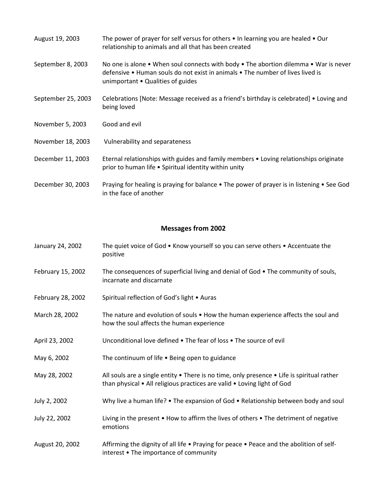| August 19, 2003    | The power of prayer for self versus for others $\bullet$ In learning you are healed $\bullet$ Our<br>relationship to animals and all that has been created                                                                          |
|--------------------|-------------------------------------------------------------------------------------------------------------------------------------------------------------------------------------------------------------------------------------|
| September 8, 2003  | No one is alone $\bullet$ When soul connects with body $\bullet$ The abortion dilemma $\bullet$ War is never<br>defensive • Human souls do not exist in animals • The number of lives lived is<br>unimportant • Qualities of guides |
| September 25, 2003 | Celebrations [Note: Message received as a friend's birthday is celebrated] • Loving and<br>being loved                                                                                                                              |
| November 5, 2003   | Good and evil                                                                                                                                                                                                                       |
| November 18, 2003  | Vulnerability and separateness                                                                                                                                                                                                      |
| December 11, 2003  | Eternal relationships with guides and family members • Loving relationships originate<br>prior to human life • Spiritual identity within unity                                                                                      |
| December 30, 2003  | Praying for healing is praying for balance • The power of prayer is in listening • See God<br>in the face of another                                                                                                                |

| January 24, 2002 | The quiet voice of God • Know yourself so you can serve others • Accentuate the |
|------------------|---------------------------------------------------------------------------------|
|                  | positive                                                                        |

- February 15, 2002 The consequences of superficial living and denial of God The community of souls, incarnate and discarnate
- February 28, 2002 Spiritual reflection of God's light Auras
- March 28, 2002 The nature and evolution of souls How the human experience affects the soul and how the soul affects the human experience
- April 23, 2002 Unconditional love defined The fear of loss The source of evil
- May 6, 2002 The continuum of life Being open to guidance
- May 28, 2002 All souls are a single entity There is no time, only presence Life is spiritual rather than physical • All religious practices are valid • Loving light of God
- July 2, 2002 Why live a human life? The expansion of God Relationship between body and soul
- July 22, 2002 Living in the present How to affirm the lives of others The detriment of negative emotions
- August 20, 2002 Affirming the dignity of all life Praying for peace Peace and the abolition of selfinterest • The importance of community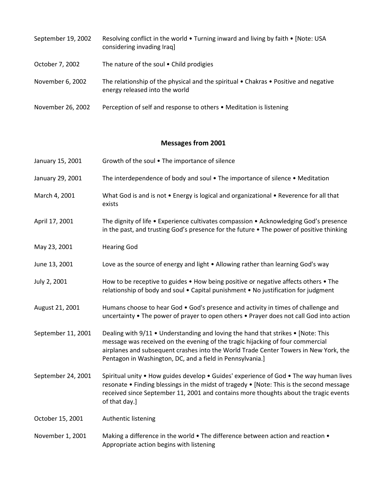| September 19, 2002 | Resolving conflict in the world • Turning inward and living by faith • [Note: USA<br>considering invading Iraq]                        |
|--------------------|----------------------------------------------------------------------------------------------------------------------------------------|
| October 7, 2002    | The nature of the soul • Child prodigies                                                                                               |
| November 6, 2002   | The relationship of the physical and the spiritual $\bullet$ Chakras $\bullet$ Positive and negative<br>energy released into the world |
| November 26, 2002  | Perception of self and response to others • Meditation is listening                                                                    |

| January 15, 2001   | Growth of the soul . The importance of silence                                                                                                                                                                                                                                                                          |
|--------------------|-------------------------------------------------------------------------------------------------------------------------------------------------------------------------------------------------------------------------------------------------------------------------------------------------------------------------|
| January 29, 2001   | The interdependence of body and soul . The importance of silence . Meditation                                                                                                                                                                                                                                           |
| March 4, 2001      | What God is and is not . Energy is logical and organizational . Reverence for all that<br>exists                                                                                                                                                                                                                        |
| April 17, 2001     | The dignity of life • Experience cultivates compassion • Acknowledging God's presence<br>in the past, and trusting God's presence for the future . The power of positive thinking                                                                                                                                       |
| May 23, 2001       | <b>Hearing God</b>                                                                                                                                                                                                                                                                                                      |
| June 13, 2001      | Love as the source of energy and light . Allowing rather than learning God's way                                                                                                                                                                                                                                        |
| July 2, 2001       | How to be receptive to guides . How being positive or negative affects others . The<br>relationship of body and soul . Capital punishment . No justification for judgment                                                                                                                                               |
| August 21, 2001    | Humans choose to hear God • God's presence and activity in times of challenge and<br>uncertainty . The power of prayer to open others . Prayer does not call God into action                                                                                                                                            |
| September 11, 2001 | Dealing with 9/11 • Understanding and loving the hand that strikes • [Note: This<br>message was received on the evening of the tragic hijacking of four commercial<br>airplanes and subsequent crashes into the World Trade Center Towers in New York, the<br>Pentagon in Washington, DC, and a field in Pennsylvania.] |
| September 24, 2001 | Spiritual unity . How guides develop . Guides' experience of God . The way human lives<br>resonate . Finding blessings in the midst of tragedy . [Note: This is the second message<br>received since September 11, 2001 and contains more thoughts about the tragic events<br>of that day.]                             |
| October 15, 2001   | Authentic listening                                                                                                                                                                                                                                                                                                     |
| November 1, 2001   | Making a difference in the world • The difference between action and reaction •<br>Appropriate action begins with listening                                                                                                                                                                                             |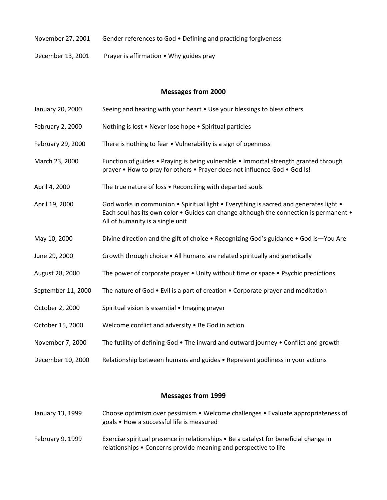- November 27, 2001 Gender references to God . Defining and practicing forgiveness
- December 13, 2001 Prayer is affirmation Why guides pray

January 20, 2000 Seeing and hearing with your heart • Use your blessings to bless others February 2, 2000 Nothing is lost • Never lose hope • Spiritual particles February 29, 2000 There is nothing to fear • Vulnerability is a sign of openness March 23, 2000 Function of guides • Praying is being vulnerable • Immortal strength granted through prayer • How to pray for others • Prayer does not influence God • God Is! April 4, 2000 The true nature of loss • Reconciling with departed souls April 19, 2000 God works in communion • Spiritual light • Everything is sacred and generates light • Each soul has its own color • Guides can change although the connection is permanent • All of humanity is a single unit May 10, 2000 Divine direction and the gift of choice • Recognizing God's guidance • God Is—You Are June 29, 2000 Growth through choice • All humans are related spiritually and genetically August 28, 2000 The power of corporate prayer • Unity without time or space • Psychic predictions September 11, 2000 The nature of God • Evil is a part of creation • Corporate prayer and meditation October 2, 2000 Spiritual vision is essential • Imaging prayer October 15, 2000 Welcome conflict and adversity • Be God in action November 7, 2000 The futility of defining God • The inward and outward journey • Conflict and growth December 10, 2000 Relationship between humans and guides • Represent godliness in your actions

- January 13, 1999 Choose optimism over pessimism Welcome challenges Evaluate appropriateness of goals • How a successful life is measured
- February 9, 1999 Exercise spiritual presence in relationships Be a catalyst for beneficial change in relationships • Concerns provide meaning and perspective to life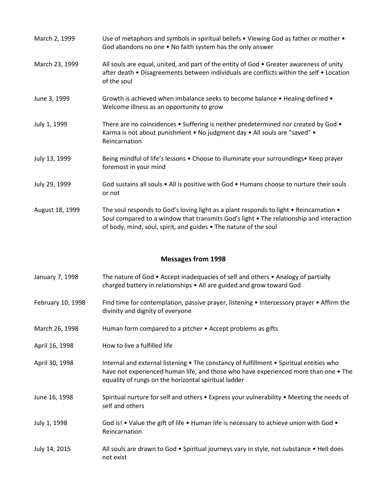| March 2, 1999   | Use of metaphors and symbols in spiritual beliefs • Viewing God as father or mother •<br>God abandons no one • No faith system has the only answer                                                                                                    |
|-----------------|-------------------------------------------------------------------------------------------------------------------------------------------------------------------------------------------------------------------------------------------------------|
| March 23, 1999  | All souls are equal, united, and part of the entity of God • Greater awareness of unity<br>after death . Disagreements between individuals are conflicts within the self . Location<br>of the soul                                                    |
| June 3, 1999    | Growth is achieved when imbalance seeks to become balance • Healing defined •<br>Welcome illness as an opportunity to grow                                                                                                                            |
| July 1, 1999    | There are no coincidences • Suffering is neither predetermined nor created by God •<br>Karma is not about punishment . No judgment day . All souls are "saved" .<br>Reincarnation                                                                     |
| July 13, 1999   | Being mindful of life's lessons • Choose to illuminate your surroundings • Keep prayer<br>foremost in your mind                                                                                                                                       |
| July 29, 1999   | God sustains all souls • All is positive with God • Humans choose to nurture their souls<br>or not                                                                                                                                                    |
| August 18, 1999 | The soul responds to God's loving light as a plant responds to light • Reincarnation •<br>Soul compared to a window that transmits God's light • The relationship and interaction<br>of body, mind, soul, spirit, and guides . The nature of the soul |

- January 7, 1998 The nature of God Accept inadequacies of self and others Analogy of partially charged battery in relationships • All are guided and grow toward God
- February 10, 1998 Find time for contemplation, passive prayer, listening Intercessory prayer Affirm the divinity and dignity of everyone
- March 26, 1998 Human form compared to a pitcher Accept problems as gifts
- April 16, 1998 How to live a fulfilled life
- April 30, 1998 Internal and external listening The constancy of fulfillment Spiritual entities who have not experienced human life, and those who have experienced more than one  $\bullet$  The equality of rungs on the horizontal spiritual ladder
- June 16, 1998 Spiritual nurture for self and others Express your vulnerability Meeting the needs of self and others
- July 1, 1998 God is! Value the gift of life Human life is necessary to achieve union with God Reincarnation
- July 14, 2015 All souls are drawn to God Spiritual journeys vary in style, not substance Hell does not exist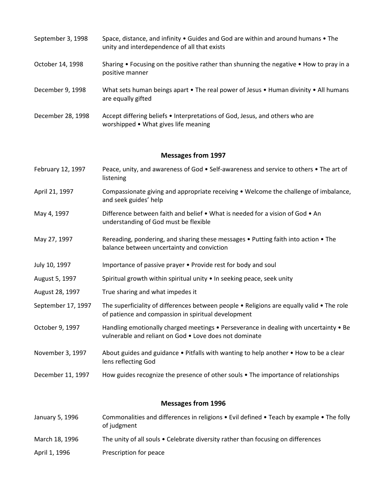- September 3, 1998 Space, distance, and infinity Guides and God are within and around humans The unity and interdependence of all that exists
- October 14, 1998 Sharing Focusing on the positive rather than shunning the negative How to pray in a positive manner
- December 9, 1998 What sets human beings apart The real power of Jesus Human divinity All humans are equally gifted
- December 28, 1998 Accept differing beliefs Interpretations of God, Jesus, and others who are worshipped • What gives life meaning

- February 12, 1997 Peace, unity, and awareness of God Self-awareness and service to others The art of listening
- April 21, 1997 Compassionate giving and appropriate receiving Welcome the challenge of imbalance, and seek guides' help
- May 4, 1997 Difference between faith and belief What is needed for a vision of God An understanding of God must be flexible
- May 27, 1997 Rereading, pondering, and sharing these messages Putting faith into action The balance between uncertainty and conviction
- July 10, 1997 Importance of passive prayer Provide rest for body and soul
- August 5, 1997 Spiritual growth within spiritual unity In seeking peace, seek unity
- August 28, 1997 True sharing and what impedes it
- September 17, 1997 The superficiality of differences between people Religions are equally valid The role of patience and compassion in spiritual development
- October 9, 1997 Handling emotionally charged meetings Perseverance in dealing with uncertainty Be vulnerable and reliant on God • Love does not dominate
- November 3, 1997 About guides and guidance Pitfalls with wanting to help another How to be a clear lens reflecting God
- December 11, 1997 How guides recognize the presence of other souls The importance of relationships

| January 5, 1996 | Commonalities and differences in religions $\bullet$ Evil defined $\bullet$ Teach by example $\bullet$ The folly<br>of judgment |
|-----------------|---------------------------------------------------------------------------------------------------------------------------------|
| March 18, 1996  | The unity of all souls • Celebrate diversity rather than focusing on differences                                                |
| April 1, 1996   | Prescription for peace                                                                                                          |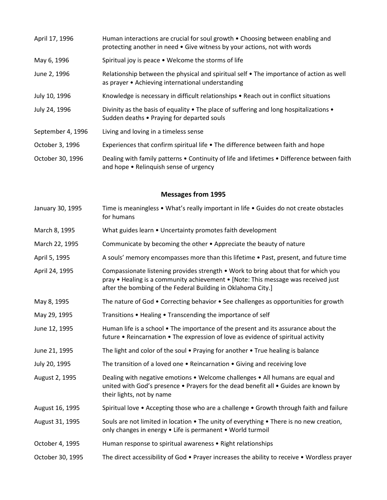| April 17, 1996    | Human interactions are crucial for soul growth • Choosing between enabling and<br>protecting another in need • Give witness by your actions, not with words |
|-------------------|-------------------------------------------------------------------------------------------------------------------------------------------------------------|
| May 6, 1996       | Spiritual joy is peace . Welcome the storms of life                                                                                                         |
| June 2, 1996      | Relationship between the physical and spiritual self • The importance of action as well<br>as prayer • Achieving international understanding                |
| July 10, 1996     | Knowledge is necessary in difficult relationships • Reach out in conflict situations                                                                        |
| July 24, 1996     | Divinity as the basis of equality $\bullet$ The place of suffering and long hospitalizations $\bullet$<br>Sudden deaths • Praying for departed souls        |
| September 4, 1996 | Living and loving in a timeless sense                                                                                                                       |
| October 3, 1996   | Experiences that confirm spiritual life • The difference between faith and hope                                                                             |
| October 30, 1996  | Dealing with family patterns . Continuity of life and lifetimes . Difference between faith<br>and hope • Relinquish sense of urgency                        |

- January 30, 1995 Time is meaningless What's really important in life Guides do not create obstacles for humans
- March 8, 1995 What guides learn Uncertainty promotes faith development
- March 22, 1995 Communicate by becoming the other Appreciate the beauty of nature
- April 5, 1995 A souls' memory encompasses more than this lifetime Past, present, and future time
- April 24, 1995 Compassionate listening provides strength Work to bring about that for which you pray • Healing is a community achievement • [Note: This message was received just after the bombing of the Federal Building in Oklahoma City.]
- May 8, 1995 The nature of God Correcting behavior See challenges as opportunities for growth
- May 29, 1995 Transitions Healing Transcending the importance of self
- June 12, 1995 Human life is a school The importance of the present and its assurance about the future • Reincarnation • The expression of love as evidence of spiritual activity
- June 21, 1995 The light and color of the soul Praying for another True healing is balance
- July 20, 1995 The transition of a loved one Reincarnation Giving and receiving love
- August 2, 1995 Dealing with negative emotions Welcome challenges All humans are equal and united with God's presence • Prayers for the dead benefit all • Guides are known by their lights, not by name
- August 16, 1995 Spiritual love Accepting those who are a challenge Growth through faith and failure
- August 31, 1995 Souls are not limited in location The unity of everything There is no new creation, only changes in energy • Life is permanent • World turmoil
- October 4, 1995 Human response to spiritual awareness Right relationships
- October 30, 1995 The direct accessibility of God Prayer increases the ability to receive Wordless prayer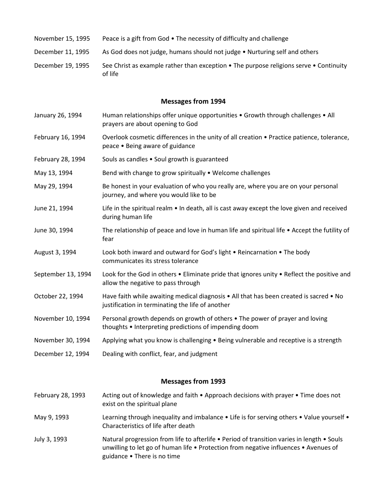- November 15, 1995 Peace is a gift from God The necessity of difficulty and challenge
- December 11, 1995 As God does not judge, humans should not judge Nurturing self and others
- December 19, 1995 See Christ as example rather than exception The purpose religions serve Continuity of life

- January 26, 1994 Human relationships offer unique opportunities Growth through challenges All prayers are about opening to God
- February 16, 1994 Overlook cosmetic differences in the unity of all creation Practice patience, tolerance, peace • Being aware of guidance
- February 28, 1994 Souls as candles Soul growth is guaranteed
- May 13, 1994 Bend with change to grow spiritually Welcome challenges
- May 29, 1994 Be honest in your evaluation of who you really are, where you are on your personal journey, and where you would like to be
- June 21, 1994 Life in the spiritual realm In death, all is cast away except the love given and received during human life
- June 30, 1994 The relationship of peace and love in human life and spiritual life Accept the futility of fear
- August 3, 1994 Look both inward and outward for God's light Reincarnation The body communicates its stress tolerance
- September 13, 1994 Look for the God in others Eliminate pride that ignores unity Reflect the positive and allow the negative to pass through
- October 22, 1994 Have faith while awaiting medical diagnosis All that has been created is sacred No justification in terminating the life of another
- November 10, 1994 Personal growth depends on growth of others The power of prayer and loving thoughts • Interpreting predictions of impending doom
- November 30, 1994 Applying what you know is challenging Being vulnerable and receptive is a strength
- December 12, 1994 Dealing with conflict, fear, and judgment

- February 28, 1993 Acting out of knowledge and faith Approach decisions with prayer Time does not exist on the spiritual plane
- May 9, 1993 Learning through inequality and imbalance Life is for serving others Value yourself Characteristics of life after death
- July 3, 1993 Natural progression from life to afterlife Period of transition varies in length Souls unwilling to let go of human life • Protection from negative influences • Avenues of guidance • There is no time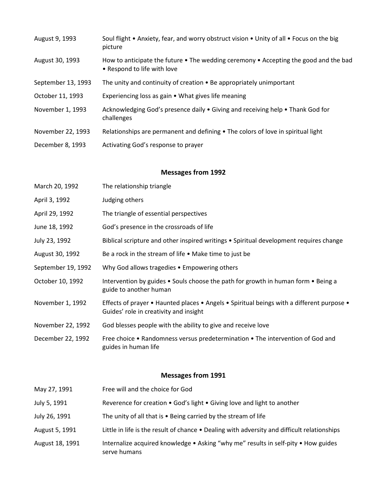| August 9, 1993     | Soul flight • Anxiety, fear, and worry obstruct vision • Unity of all • Focus on the big<br>picture                 |
|--------------------|---------------------------------------------------------------------------------------------------------------------|
| August 30, 1993    | How to anticipate the future • The wedding ceremony • Accepting the good and the bad<br>• Respond to life with love |
| September 13, 1993 | The unity and continuity of creation • Be appropriately unimportant                                                 |
| October 11, 1993   | Experiencing loss as gain • What gives life meaning                                                                 |
| November 1, 1993   | Acknowledging God's presence daily • Giving and receiving help • Thank God for<br>challenges                        |
| November 22, 1993  | Relationships are permanent and defining • The colors of love in spiritual light                                    |
| December 8, 1993   | Activating God's response to prayer                                                                                 |

- April 3, 1992 Judging others
- April 29, 1992 The triangle of essential perspectives
- June 18, 1992 God's presence in the crossroads of life
- July 23, 1992 Biblical scripture and other inspired writings Spiritual development requires change
- August 30, 1992 Be a rock in the stream of life Make time to just be
- September 19, 1992 Why God allows tragedies Empowering others
- October 10, 1992 Intervention by guides Souls choose the path for growth in human form Being a guide to another human
- November 1, 1992 Effects of prayer Haunted places Angels Spiritual beings with a different purpose Guides' role in creativity and insight
- November 22, 1992 God blesses people with the ability to give and receive love
- December 22, 1992 Free choice Randomness versus predetermination The intervention of God and guides in human life

| May 27, 1991    | Free will and the choice for God                                                                   |
|-----------------|----------------------------------------------------------------------------------------------------|
| July 5, 1991    | Reverence for creation . God's light . Giving love and light to another                            |
| July 26, 1991   | The unity of all that is $\bullet$ Being carried by the stream of life                             |
| August 5, 1991  | Little in life is the result of chance • Dealing with adversity and difficult relationships        |
| August 18, 1991 | Internalize acquired knowledge . Asking "why me" results in self-pity . How guides<br>serve humans |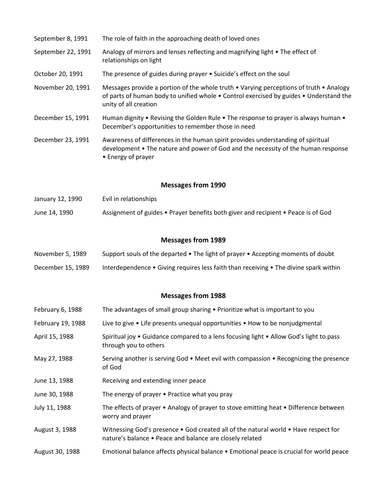| September 8, 1991         | The role of faith in the approaching death of loved ones                                                                                                                                                  |
|---------------------------|-----------------------------------------------------------------------------------------------------------------------------------------------------------------------------------------------------------|
| September 22, 1991        | Analogy of mirrors and lenses reflecting and magnifying light • The effect of<br>relationships on light                                                                                                   |
| October 20, 1991          | The presence of guides during prayer . Suicide's effect on the soul                                                                                                                                       |
| November 20, 1991         | Messages provide a portion of the whole truth • Varying perceptions of truth • Analogy<br>of parts of human body to unified whole . Control exercised by guides . Understand the<br>unity of all creation |
| December 15, 1991         | Human dignity • Revising the Golden Rule • The response to prayer is always human •<br>December's opportunities to remember those in need                                                                 |
| December 23, 1991         | Awareness of differences in the human spirit provides understanding of spiritual<br>development • The nature and power of God and the necessity of the human response<br>• Energy of prayer               |
| <b>Messages from 1990</b> |                                                                                                                                                                                                           |
| January 12, 1990          | Evil in relationships                                                                                                                                                                                     |
| June 14, 1990             | Assignment of guides • Prayer benefits both giver and recipient • Peace is of God                                                                                                                         |
|                           | <b>Messages from 1989</b>                                                                                                                                                                                 |
| November 5, 1989          | Support souls of the departed • The light of prayer • Accepting moments of doubt                                                                                                                          |
| December 15, 1989         | Interdependence • Giving requires less faith than receiving • The divine spark within                                                                                                                     |
|                           | <b>Messages from 1988</b>                                                                                                                                                                                 |
| February 6, 1988          | The advantages of small group sharing • Prioritize what is important to you                                                                                                                               |
| February 19, 1988         | Live to give • Life presents unequal opportunities • How to be nonjudgmental                                                                                                                              |
| April 15, 1988            | Spiritual joy . Guidance compared to a lens focusing light . Allow God's light to pass<br>through you to others                                                                                           |
| May 27, 1988              | Serving another is serving God • Meet evil with compassion • Recognizing the presence<br>of God                                                                                                           |
| June 13, 1988             | Receiving and extending inner peace                                                                                                                                                                       |
| June 30, 1988             | The energy of prayer • Practice what you pray                                                                                                                                                             |
| July 11, 1988             | The effects of prayer • Analogy of prayer to stove emitting heat • Difference between<br>worry and prayer                                                                                                 |
| August 3, 1988            | Witnessing God's presence • God created all of the natural world • Have respect for<br>nature's balance • Peace and balance are closely related                                                           |
| August 30, 1988           | Emotional balance affects physical balance • Emotional peace is crucial for world peace                                                                                                                   |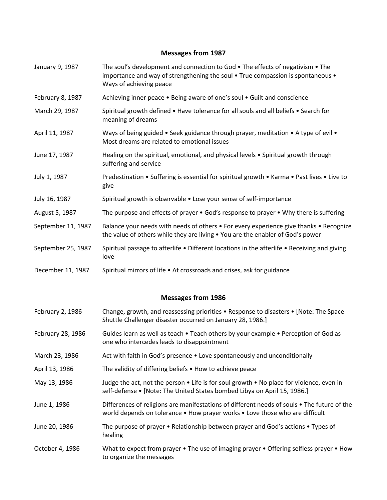- January 9, 1987 The soul's development and connection to God The effects of negativism The importance and way of strengthening the soul • True compassion is spontaneous • Ways of achieving peace
- February 8, 1987 Achieving inner peace Being aware of one's soul Guilt and conscience
- March 29, 1987 Spiritual growth defined Have tolerance for all souls and all beliefs Search for meaning of dreams
- April 11, 1987 Ways of being guided Seek guidance through prayer, meditation A type of evil Most dreams are related to emotional issues
- June 17, 1987 Healing on the spiritual, emotional, and physical levels Spiritual growth through suffering and service
- July 1, 1987 Predestination Suffering is essential for spiritual growth Karma Past lives Live to give
- July 16, 1987 Spiritual growth is observable Lose your sense of self-importance
- August 5, 1987 The purpose and effects of prayer God's response to prayer Why there is suffering
- September 11, 1987 Balance your needs with needs of others For every experience give thanks Recognize the value of others while they are living • You are the enabler of God's power
- September 25, 1987 Spiritual passage to afterlife Different locations in the afterlife Receiving and giving love
- December 11, 1987 Spiritual mirrors of life At crossroads and crises, ask for guidance

- February 2, 1986 Change, growth, and reassessing priorities Response to disasters [Note: The Space Shuttle Challenger disaster occurred on January 28, 1986.]
- February 28, 1986 Guides learn as well as teach Teach others by your example Perception of God as one who intercedes leads to disappointment
- March 23, 1986 Act with faith in God's presence Love spontaneously and unconditionally
- April 13, 1986 The validity of differing beliefs . How to achieve peace
- May 13, 1986 Judge the act, not the person  $\bullet$  Life is for soul growth  $\bullet$  No place for violence, even in self-defense • [Note: The United States bombed Libya on April 15, 1986.]
- June 1, 1986 Differences of religions are manifestations of different needs of souls The future of the world depends on tolerance • How prayer works • Love those who are difficult
- June 20, 1986 The purpose of prayer Relationship between prayer and God's actions Types of healing
- October 4, 1986 What to expect from prayer The use of imaging prayer Offering selfless prayer How to organize the messages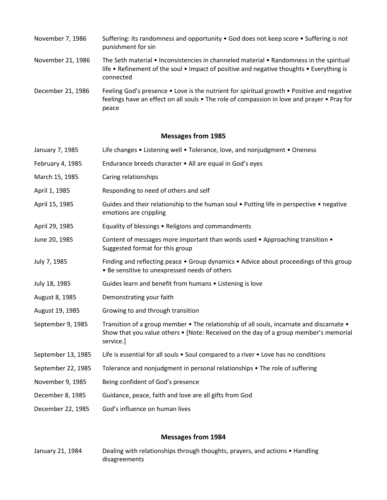| November 7, 1986 | Suffering: its randomness and opportunity . God does not keep score . Suffering is not |
|------------------|----------------------------------------------------------------------------------------|
|                  | punishment for sin                                                                     |

- November 21, 1986 The Seth material Inconsistencies in channeled material Randomness in the spiritual life • Refinement of the soul • Impact of positive and negative thoughts • Everything is connected
- December 21, 1986 Feeling God's presence Love is the nutrient for spiritual growth Positive and negative feelings have an effect on all souls • The role of compassion in love and prayer • Pray for peace

| January 7, 1985    | Life changes • Listening well • Tolerance, love, and nonjudgment • Oneness                                                                                                                    |
|--------------------|-----------------------------------------------------------------------------------------------------------------------------------------------------------------------------------------------|
| February 4, 1985   | Endurance breeds character • All are equal in God's eyes                                                                                                                                      |
| March 15, 1985     | Caring relationships                                                                                                                                                                          |
| April 1, 1985      | Responding to need of others and self                                                                                                                                                         |
| April 15, 1985     | Guides and their relationship to the human soul . Putting life in perspective . negative<br>emotions are crippling                                                                            |
| April 29, 1985     | Equality of blessings • Religions and commandments                                                                                                                                            |
| June 20, 1985      | Content of messages more important than words used • Approaching transition •<br>Suggested format for this group                                                                              |
| July 7, 1985       | Finding and reflecting peace • Group dynamics • Advice about proceedings of this group<br>• Be sensitive to unexpressed needs of others                                                       |
| July 18, 1985      | Guides learn and benefit from humans . Listening is love                                                                                                                                      |
| August 8, 1985     | Demonstrating your faith                                                                                                                                                                      |
| August 19, 1985    | Growing to and through transition                                                                                                                                                             |
| September 9, 1985  | Transition of a group member • The relationship of all souls, incarnate and discarnate •<br>Show that you value others • [Note: Received on the day of a group member's memorial<br>service.] |
| September 13, 1985 | Life is essential for all souls • Soul compared to a river • Love has no conditions                                                                                                           |
| September 22, 1985 | Tolerance and nonjudgment in personal relationships • The role of suffering                                                                                                                   |
| November 9, 1985   | Being confident of God's presence                                                                                                                                                             |
| December 8, 1985   | Guidance, peace, faith and love are all gifts from God                                                                                                                                        |
| December 22, 1985  | God's influence on human lives                                                                                                                                                                |

#### **Messages from 1984**

January 21, 1984 Dealing with relationships through thoughts, prayers, and actions • Handling disagreements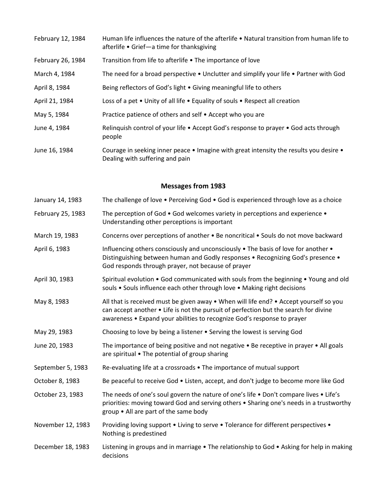| February 12, 1984 | Human life influences the nature of the afterlife • Natural transition from human life to<br>afterlife • Grief—a time for thanksgiving |
|-------------------|----------------------------------------------------------------------------------------------------------------------------------------|
| February 26, 1984 | Transition from life to afterlife • The importance of love                                                                             |
| March 4, 1984     | The need for a broad perspective • Unclutter and simplify your life • Partner with God                                                 |
| April 8, 1984     | Being reflectors of God's light • Giving meaningful life to others                                                                     |
| April 21, 1984    | Loss of a pet • Unity of all life • Equality of souls • Respect all creation                                                           |
| May 5, 1984       | Practice patience of others and self • Accept who you are                                                                              |
| June 4, 1984      | Relinquish control of your life • Accept God's response to prayer • God acts through<br>people                                         |
| June 16, 1984     | Courage in seeking inner peace • Imagine with great intensity the results you desire •<br>Dealing with suffering and pain              |

- January 14, 1983 The challenge of love Perceiving God God is experienced through love as a choice
- February 25, 1983 The perception of God God welcomes variety in perceptions and experience Understanding other perceptions is important
- March 19, 1983 Concerns over perceptions of another Be noncritical Souls do not move backward
- April 6, 1983 Influencing others consciously and unconsciously The basis of love for another Distinguishing between human and Godly responses • Recognizing God's presence • God responds through prayer, not because of prayer
- April 30, 1983 Spiritual evolution God communicated with souls from the beginning Young and old souls • Souls influence each other through love • Making right decisions
- May 8, 1983 All that is received must be given away When will life end? Accept yourself so you can accept another • Life is not the pursuit of perfection but the search for divine awareness • Expand your abilities to recognize God's response to prayer
- May 29, 1983 Choosing to love by being a listener Serving the lowest is serving God
- June 20, 1983 The importance of being positive and not negative Be receptive in prayer All goals are spiritual • The potential of group sharing
- September 5, 1983 Re-evaluating life at a crossroads The importance of mutual support
- October 8, 1983 Be peaceful to receive God Listen, accept, and don't judge to become more like God
- October 23, 1983 The needs of one's soul govern the nature of one's life Don't compare lives Life's priorities: moving toward God and serving others • Sharing one's needs in a trustworthy group • All are part of the same body
- November 12, 1983 Providing loving support Living to serve Tolerance for different perspectives Nothing is predestined
- December 18, 1983 Listening in groups and in marriage The relationship to God Asking for help in making decisions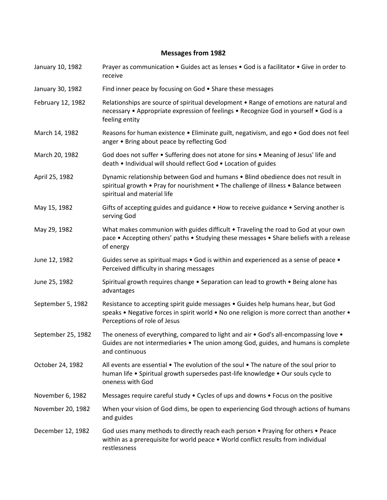- January 10, 1982 Prayer as communication Guides act as lenses God is a facilitator Give in order to receive
- January 30, 1982 Find inner peace by focusing on God Share these messages
- February 12, 1982 Relationships are source of spiritual development Range of emotions are natural and necessary • Appropriate expression of feelings • Recognize God in yourself • God is a feeling entity
- March 14, 1982 Reasons for human existence Eliminate guilt, negativism, and ego God does not feel anger • Bring about peace by reflecting God
- March 20, 1982 God does not suffer Suffering does not atone for sins Meaning of Jesus' life and death • Individual will should reflect God • Location of guides
- April 25, 1982 Dynamic relationship between God and humans Blind obedience does not result in spiritual growth • Pray for nourishment • The challenge of illness • Balance between spiritual and material life
- May 15, 1982 Gifts of accepting guides and guidance How to receive guidance Serving another is serving God
- May 29, 1982 What makes communion with guides difficult Traveling the road to God at your own pace • Accepting others' paths • Studying these messages • Share beliefs with a release of energy
- June 12, 1982 Guides serve as spiritual maps God is within and experienced as a sense of peace Perceived difficulty in sharing messages
- June 25, 1982 Spiritual growth requires change Separation can lead to growth Being alone has advantages
- September 5, 1982 Resistance to accepting spirit guide messages Guides help humans hear, but God speaks • Negative forces in spirit world • No one religion is more correct than another • Perceptions of role of Jesus
- September 25, 1982 The oneness of everything, compared to light and air God's all-encompassing love Guides are not intermediaries • The union among God, guides, and humans is complete and continuous
- October 24, 1982 All events are essential The evolution of the soul The nature of the soul prior to human life • Spiritual growth supersedes past-life knowledge • Our souls cycle to oneness with God
- November 6, 1982 Messages require careful study Cycles of ups and downs Focus on the positive
- November 20, 1982 When your vision of God dims, be open to experiencing God through actions of humans and guides
- December 12, 1982 God uses many methods to directly reach each person Praying for others Peace within as a prerequisite for world peace • World conflict results from individual restlessness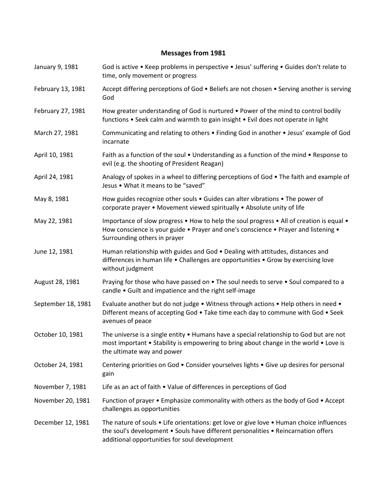January 9, 1981 God is active • Keep problems in perspective • Jesus' suffering • Guides don't relate to time, only movement or progress February 13, 1981 Accept differing perceptions of God • Beliefs are not chosen • Serving another is serving God February 27, 1981 How greater understanding of God is nurtured • Power of the mind to control bodily functions • Seek calm and warmth to gain insight • Evil does not operate in light March 27, 1981 Communicating and relating to others • Finding God in another • Jesus' example of God incarnate April 10, 1981 Faith as a function of the soul • Understanding as a function of the mind • Response to evil (e.g. the shooting of President Reagan) April 24, 1981 Analogy of spokes in a wheel to differing perceptions of God • The faith and example of Jesus • What it means to be "saved" May 8, 1981 How guides recognize other souls • Guides can alter vibrations • The power of corporate prayer • Movement viewed spiritually • Absolute unity of life May 22, 1981 Importance of slow progress • How to help the soul progress • All of creation is equal • How conscience is your guide • Prayer and one's conscience • Prayer and listening • Surrounding others in prayer June 12, 1981 Human relationship with guides and God • Dealing with attitudes, distances and differences in human life • Challenges are opportunities • Grow by exercising love without judgment August 28, 1981 Praying for those who have passed on • The soul needs to serve • Soul compared to a candle • Guilt and impatience and the right self-image September 18, 1981 Evaluate another but do not judge • Witness through actions • Help others in need • Different means of accepting God • Take time each day to commune with God • Seek avenues of peace October 10, 1981 The universe is a single entity • Humans have a special relationship to God but are not most important • Stability is empowering to bring about change in the world • Love is the ultimate way and power October 24, 1981 Centering priorities on God • Consider yourselves lights • Give up desires for personal gain November 7, 1981 Life as an act of faith • Value of differences in perceptions of God November 20, 1981 Function of prayer • Emphasize commonality with others as the body of God • Accept challenges as opportunities December 12, 1981 The nature of souls • Life orientations: get love or give love • Human choice influences the soul's development • Souls have different personalities • Reincarnation offers additional opportunities for soul development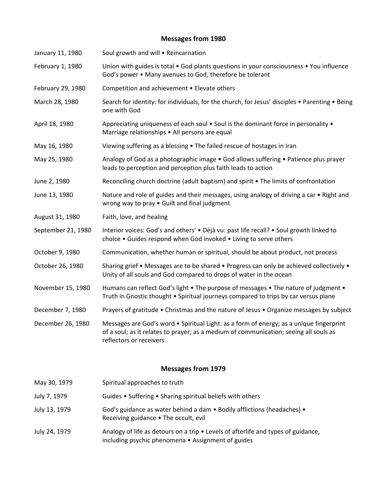| January 11, 1980   | Soul growth and will . Reincarnation                                                                                                                                                                        |
|--------------------|-------------------------------------------------------------------------------------------------------------------------------------------------------------------------------------------------------------|
| February 1, 1980   | Union with guides is total • God plants questions in your consciousness • You influence<br>God's power . Many avenues to God, therefore be tolerant                                                         |
| February 29, 1980  | Competition and achievement . Elevate others                                                                                                                                                                |
| March 28, 1980     | Search for identity: for individuals, for the church, for Jesus' disciples • Parenting • Being<br>one with God                                                                                              |
| April 18, 1980     | Appreciating uniqueness of each soul . Soul is the dominant force in personality .<br>Marriage relationships . All persons are equal                                                                        |
| May 16, 1980       | Viewing suffering as a blessing • The failed rescue of hostages in Iran                                                                                                                                     |
| May 25, 1980       | Analogy of God as a photographic image • God allows suffering • Patience plus prayer<br>leads to perception and perception plus faith leads to action                                                       |
| June 2, 1980       | Reconciling church doctrine (adult baptism) and spirit . The limits of confrontation                                                                                                                        |
| June 13, 1980      | Nature and role of guides and their messages, using analogy of driving a car • Right and<br>wrong way to pray . Guilt and final judgment                                                                    |
| August 31, 1980    | Faith, love, and healing                                                                                                                                                                                    |
| September 21, 1980 | Interior voices: God's and others' • Déjà vu: past life recall? • Soul growth linked to<br>choice . Guides respond when God invoked . Living to serve others                                                |
| October 9, 1980    | Communication, whether human or spiritual, should be about product, not process                                                                                                                             |
| October 26, 1980   | Sharing grief • Messages are to be shared • Progress can only be achieved collectively •<br>Unity of all souls and God compared to drops of water in the ocean                                              |
| November 15, 1980  | Humans can reflect God's light • The purpose of messages • The nature of judgment •<br>Truth in Gnostic thought . Spiritual journeys compared to trips by car versus plane                                  |
| December 7, 1980   | Prayers of gratitude • Christmas and the nature of Jesus • Organize messages by subject                                                                                                                     |
| December 26, 1980  | Messages are God's word • Spiritual Light: as a form of energy; as a unique fingerprint<br>of a soul; as it relates to prayer; as a medium of communication; seeing all souls as<br>reflectors or receivers |

| May 30, 1979  | Spiritual approaches to truth                                                                                                           |
|---------------|-----------------------------------------------------------------------------------------------------------------------------------------|
| July 7, 1979  | Guides • Suffering • Sharing spiritual beliefs with others                                                                              |
| July 13, 1979 | God's guidance as water behind a dam • Bodily afflictions (headaches) •<br>Receiving guidance . The occult, evil                        |
| July 24, 1979 | Analogy of life as detours on a trip • Levels of afterlife and types of guidance,<br>including psychic phenomena • Assignment of guides |